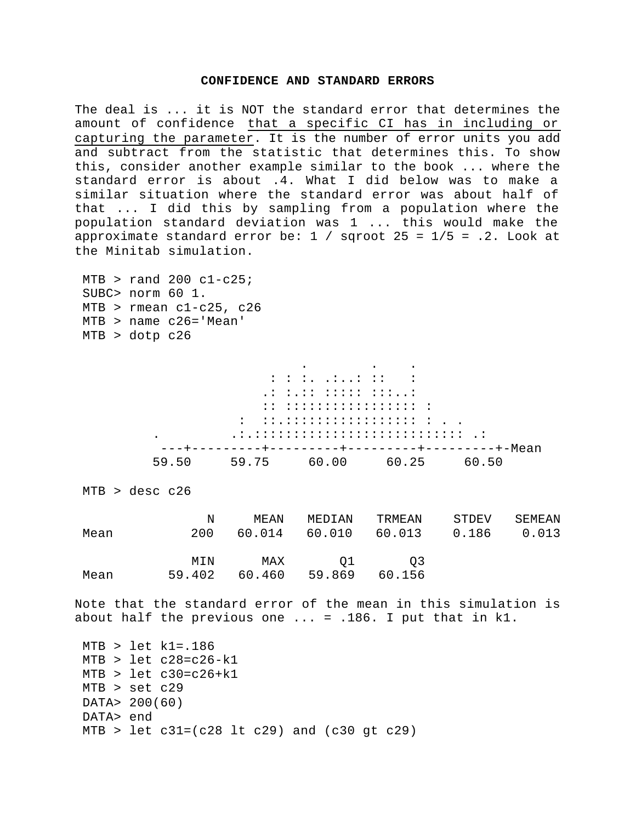## **CONFIDENCE AND STANDARD ERRORS**

The deal is ... it is NOT the standard error that determines the amount of confidence that a specific CI has in including or capturing the parameter. It is the number of error units you add and subtract from the statistic that determines this. To show this, consider another example similar to the book ... where the standard error is about .4. What I did below was to make a similar situation where the standard error was about half of that ... I did this by sampling from a population where the population standard deviation was 1 ... this would make the approximate standard error be:  $1 /$  sqroot 25 =  $1/5$  = .2. Look at the Minitab simulation.

```
MTB > rand 200 c1-c25;
 SUBC> norm 60 1.
 MTB > rmean c1-c25, c26
 MTB > name c26='Mean'
 MTB > dotp c26
```

|       |                                                                                                                                                                                                                                           | the contract of the contract of the contract of the contract of the contract of the contract of the contract of |       |
|-------|-------------------------------------------------------------------------------------------------------------------------------------------------------------------------------------------------------------------------------------------|-----------------------------------------------------------------------------------------------------------------|-------|
|       |                                                                                                                                                                                                                                           |                                                                                                                 |       |
|       | $\mathcal{L}^{\mathcal{L}}$ , and the set of the set of the set of the set of the set of the set of the set of the set of the set of the set of the set of the set of the set of the set of the set of the set of the set of the set of t |                                                                                                                 |       |
|       | :: :::::::::::::::::::::                                                                                                                                                                                                                  |                                                                                                                 |       |
|       | $\mathcal{I} = \{ \mathcal{I} \in \mathcal{I} \mid \mathcal{I} \in \mathcal{I} \text{ is a finite number of } \mathcal{I} \}$                                                                                                             |                                                                                                                 |       |
|       |                                                                                                                                                                                                                                           |                                                                                                                 |       |
|       |                                                                                                                                                                                                                                           |                                                                                                                 |       |
| 59.50 | 59.75 60.00                                                                                                                                                                                                                               | 60.25                                                                                                           | 60.50 |

```
 MTB > desc c26
```

| Mean | N             | MEAN          | MEDIAN       | TRMEAN       | STDEV | SEMEAN |
|------|---------------|---------------|--------------|--------------|-------|--------|
|      | 200           | 60.014        | 60.010       | 60.013       | 0.186 | 0.013  |
| Mean | MTN<br>59.402 | MAX<br>60.460 | 01<br>59.869 | O3<br>60.156 |       |        |

Note that the standard error of the mean in this simulation is about half the previous one ... = .186. I put that in k1.

```
 MTB > let k1=.186
MTB > let c28=c26-k1MTB > let c30=c26+k1
 MTB > set c29
 DATA> 200(60)
 DATA> end
MTB > let c31 = (c28 1t c29) and (c30 gt c29)
```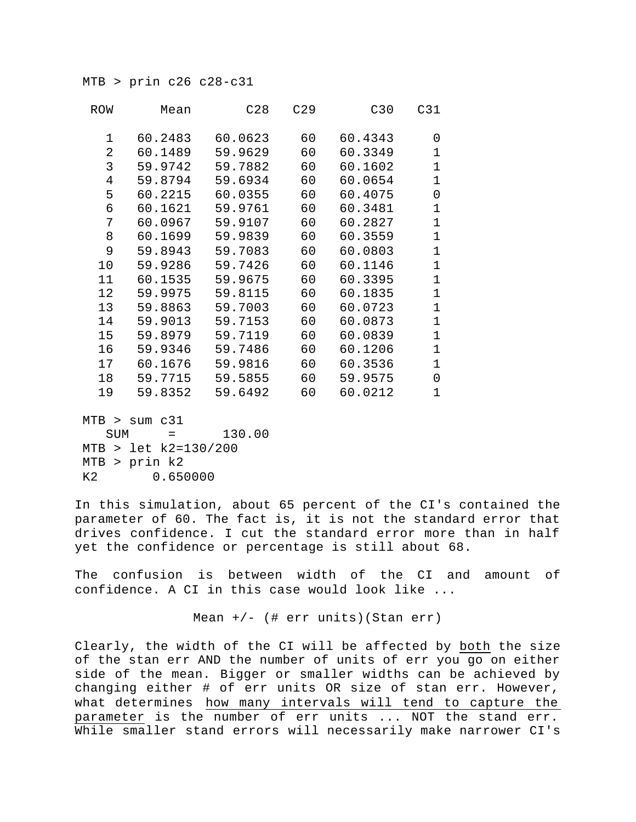MTB > prin c26 c28-c31

| ROW             | Mean    | C28     | C29 | C30     | C31          |
|-----------------|---------|---------|-----|---------|--------------|
| $\mathbf 1$     | 60.2483 | 60.0623 | 60  | 60.4343 | 0            |
| 2               | 60.1489 | 59.9629 | 60  | 60.3349 | $\mathbf{1}$ |
| 3               | 59.9742 | 59.7882 | 60  | 60.1602 | $\mathbf 1$  |
| $\overline{4}$  | 59.8794 | 59.6934 | 60  | 60.0654 | $\mathbf 1$  |
| 5               | 60.2215 | 60.0355 | 60  | 60.4075 | 0            |
| б               | 60.1621 | 59.9761 | 60  | 60.3481 | $\mathbf 1$  |
| 7               | 60.0967 | 59.9107 | 60  | 60.2827 | $\mathbf 1$  |
| 8               | 60.1699 | 59.9839 | 60  | 60.3559 | $\mathbf 1$  |
| 9               | 59.8943 | 59.7083 | 60  | 60.0803 | $\mathbf 1$  |
| 10              | 59.9286 | 59.7426 | 60  | 60.1146 | $\mathbf 1$  |
| 11              | 60.1535 | 59.9675 | 60  | 60.3395 | $\mathbf 1$  |
| 12 <sup>°</sup> | 59.9975 | 59.8115 | 60  | 60.1835 | $\mathbf 1$  |
| 13              | 59.8863 | 59.7003 | 60  | 60.0723 | $\mathbf 1$  |
| 14              | 59.9013 | 59.7153 | 60  | 60.0873 | $\mathbf 1$  |
| 15              | 59.8979 | 59.7119 | 60  | 60.0839 | $\mathbf 1$  |
| 16              | 59.9346 | 59.7486 | 60  | 60.1206 | $\mathbf 1$  |
| 17              | 60.1676 | 59.9816 | 60  | 60.3536 | $\mathbf 1$  |
| 18              | 59.7715 | 59.5855 | 60  | 59.9575 | 0            |
| 19              | 59.8352 | 59.6492 | 60  | 60.0212 | 1            |
|                 |         |         |     |         |              |

 MTB > sum c31 SUM = 130.00 MTB > let k2=130/200 MTB > prin k2 K2 0.650000

In this simulation, about 65 percent of the CI's contained the parameter of 60. The fact is, it is not the standard error that drives confidence. I cut the standard error more than in half yet the confidence or percentage is still about 68.

The confusion is between width of the CI and amount of confidence. A CI in this case would look like ...

Mean  $+/-$  (# err units)(Stan err)

Clearly, the width of the CI will be affected by both the size of the stan err AND the number of units of err you go on either side of the mean. Bigger or smaller widths can be achieved by changing either # of err units OR size of stan err. However, what determines how many intervals will tend to capture the parameter is the number of err units ... NOT the stand err. While smaller stand errors will necessarily make narrower CI's